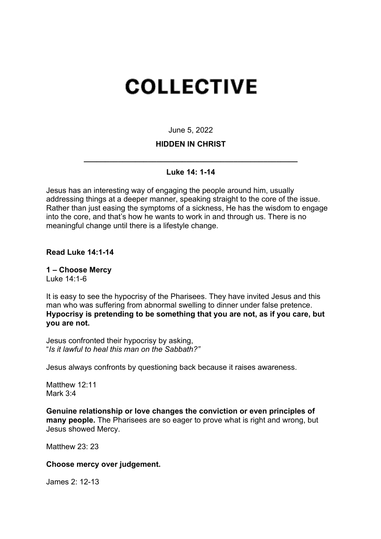# **COLLECTIVE**

June 5, 2022

### **HIDDEN IN CHRIST**

## **\_\_\_\_\_\_\_\_\_\_\_\_\_\_\_\_\_\_\_\_\_\_\_\_\_\_\_\_\_\_\_\_\_\_\_\_\_\_\_\_\_\_\_\_\_\_\_\_\_\_ Luke 14: 1-14**

Jesus has an interesting way of engaging the people around him, usually addressing things at a deeper manner, speaking straight to the core of the issue. Rather than just easing the symptoms of a sickness, He has the wisdom to engage into the core, and that's how he wants to work in and through us. There is no meaningful change until there is a lifestyle change.

**Read Luke 14:1-14**

**1 – Choose Mercy** Luke 14:1-6

It is easy to see the hypocrisy of the Pharisees. They have invited Jesus and this man who was suffering from abnormal swelling to dinner under false pretence. **Hypocrisy is pretending to be something that you are not, as if you care, but you are not.**

Jesus confronted their hypocrisy by asking, "*Is it lawful to heal this man on the Sabbath?"* 

Jesus always confronts by questioning back because it raises awareness.

Matthew 12:11 Mark 3:4

**Genuine relationship or love changes the conviction or even principles of many people.** The Pharisees are so eager to prove what is right and wrong, but Jesus showed Mercy.

Matthew 23: 23

#### **Choose mercy over judgement.**

James 2: 12-13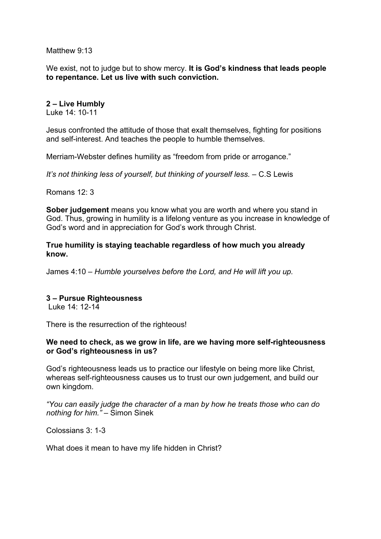Matthew 9:13

We exist, not to judge but to show mercy. **It is God's kindness that leads people to repentance. Let us live with such conviction.** 

#### **2 – Live Humbly**

Luke 14: 10-11

Jesus confronted the attitude of those that exalt themselves, fighting for positions and self-interest. And teaches the people to humble themselves.

Merriam-Webster defines humility as "freedom from pride or arrogance."

*It's not thinking less of yourself, but thinking of yourself less.* – C.S Lewis

Romans 12: 3

**Sober judgement** means you know what you are worth and where you stand in God. Thus, growing in humility is a lifelong venture as you increase in knowledge of God's word and in appreciation for God's work through Christ.

**True humility is staying teachable regardless of how much you already know.** 

James 4:10 – *Humble yourselves before the Lord, and He will lift you up.*

#### **3 – Pursue Righteousness**

Luke 14: 12-14

There is the resurrection of the righteous!

#### **We need to check, as we grow in life, are we having more self-righteousness or God's righteousness in us?**

God's righteousness leads us to practice our lifestyle on being more like Christ, whereas self-righteousness causes us to trust our own judgement, and build our own kingdom.

*"You can easily judge the character of a man by how he treats those who can do nothing for him."* – Simon Sinek

Colossians 3: 1-3

What does it mean to have my life hidden in Christ?